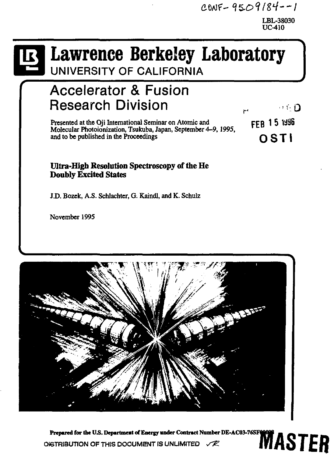$CONF-95O9/84--1$ 

LBL-38030 UC-410

# $\mathbf{B}$

# **Lawrence Berkeley Laboratory**

**UNIVERSITY OF CALIFORNIA** 

# **Accelerator & Fusion Research Division**<br>**Presented at the Oji International Seminar on Atomic and research 15 1996**

Presented at the Oii International Seminar on Atomic and Molecular Photoionization, Tsukuba, Japan, September 4-9,1995, and to be published in the Proceedings  $\overline{O}$  S T |

# **Ultra-High Resolution Spectroscopy of the He Doubly Excited States**

J.D. Bozek, A.S. Schlachter, G. Kaindl, and K. Schulz

November 1995



**Prepared for the U.S. Department of Energy under Contract Number DE-AC03-76SF8006**<br>OIGTRIBUTION OF THIS DOCUMENT IS UNLIMITED  $\chi$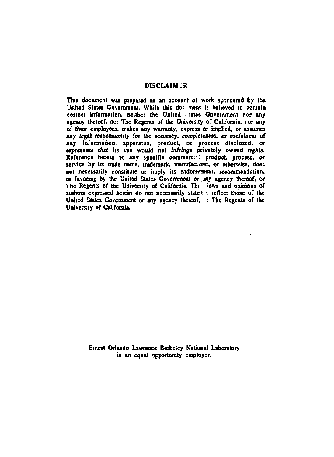#### **DISCLAIMER**

**This document was prepared as an account of work sponsored by the United States Government. While this doc ment is believed to contain**  correct information, neither the United ... tates Government nor any **agency thereof, nor The Regents of the University of California, nor any of their employees, makes any warranty, express or implied, or assumes any legal responsibility for the accuracy, completeness, or usefulness of any information, apparatus, product, or process disclosed, or represents that its use would not infringe privately owned rights.**  Reference herein to any specific commercial product, process, or **service by its trade name, trademark, manufactirer, or otherwise, does not necessarily constitute or imply its endorsement, recommendation,**  or favoring by the United States Government or any agency thereof, or The Regents of the University of California. The tews and opinions of **authors expressed herein do not necessarily state** *• r.* **reflect those of the**  United States Government or any agency thereof, **Fig. 7** The Regents of the **University of California.** 

> **Emest Orlando Lawrence Berkeley National Laboratory is an equal opportunity employer.**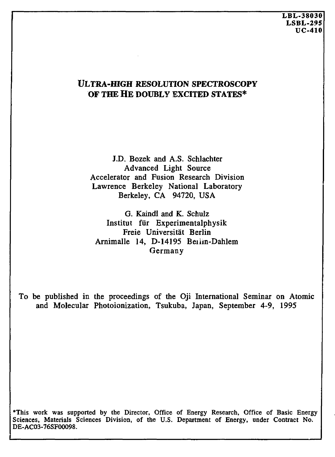# **ULTRA-HIGH RESOLUTION SPECTROSCOPY OF THE HE DOUBLY EXCITED STATES\***

J.D. Bozek and A.S. Schlachter Advanced Light Source Accelerator and Fusion Research Division Lawrence Berkeley National Laboratory Berkeley, CA 94720, USA

G. Kaindl and K. Schulz Institut fur Experimentalphysik Freie Universitat Berlin Arnimalle 14, D-14195 Beilm-Dahlem Germany

To be published in the proceedings of the Oji International Seminar on Atomic and Molecular Photoionization, Tsukuba, Japan, September 4-9, 1995

\*This work was supported by the Director, Office of Energy Research, Office of Basic Energy Sciences, Materials Sciences Division, of the U.S. Department of Energy, under Contract No. DE-AC03-76SF00098.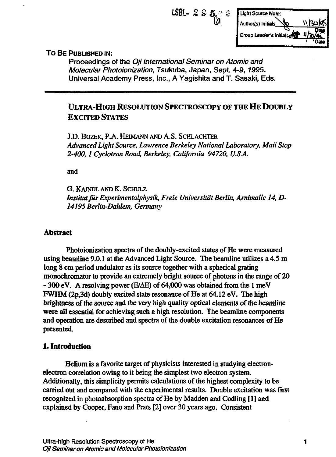$$
1.581 - 2.5.5
$$
  
1.13015 curve Note:  
Author(s) Initially  
Group leaders initially 1.1300  
0.0000  
1.0000  
0.0000  
0.000

### TO BE PUBLISHED IN:

Proceedings of the *Oji International Seminar on Atomic and Molecular Photoionization,* Tsukuba, Japan, Sept. 4-9,1995. Universal Academy Press, Inc., A Yagishita and T. Sasaki, Eds.

# ULTRA-HIGH RESOLUTION SPECTROSCOPY OF THE HE DOUBLY EXCITED STATES

J.D. BOZEK, P.A. HEIMANN AND A.S. SCHLACHTER *Advanced Light Source, Lawrence Berkeley National Laboratory, Mail Stop 2-400,1 Cyclotron Road, Berkeley, California 94720, U.S.A.* 

and

G. KAINDL AND K. SCHULZ Institut für Experimentalphysik, Freie Universität Berlin, Arnimalle 14, D-*14195 Berlin-Dahlem, Germany* 

#### **Abstract**

Photoionization spectra of the doubly-excited states of He were measured using beamline 9.0.1 at the Advanced Light Source. The beamline utilizes a 4.5 m long 8 cm period undulator as its source together with a spherical grating monochromator to provide an extremely bright source of photons in the range of 20 - 300 eV. A resolving power (E/AE) of 64,000 was obtained from the 1 meV FWHM (2p,3d) doubly excited state resonance of He at 64.12 eV. The high brightness of the source and the very high quality optical elements of the beamline were all essential for achieving such a high resolution. The beamline components and operation are described and spectra of the double excitation resonances of He presented.

#### **1. Introduction**

Helium is a favorite target of physicists interested in studying electronelectron correlation owing to it being the simplest two electron system. Additionally, this simplicity permits calculations of the highest complexity to be carried out and compared with the experimental results. Double excitation was first recognized in photoabsorption spectra of He by Madden and Codling [1] and explained by Cooper, Fano and Prats [2] over 30 years ago. Consistent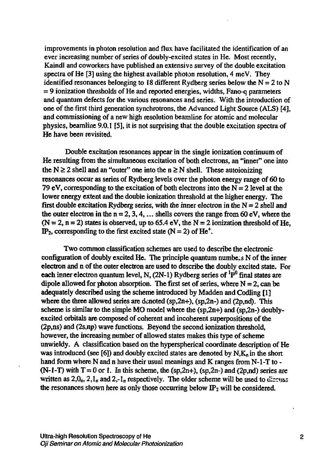improvements in photon resolution and flux have facilitated the identification of an ever increasing number of series of doubly-excited states in He. Most recently, Kaindl and coworkers have published an extensive survey of the double excitation spectra of He [3] using the highest available photon resolution, 4 meV. They identified resonances belonging to 18 different Rydberg series below the  $N = 2$  to N = 9 ionization thresholds of He and reported energies, widths, Fano-q parameters and quantum defects for the various resonances and series. With the introduction of one of the first third generation synchrotrons, the Advanced Light Source (ALS) [4], and commissioning of a new high resolution beamline for atomic and molecular physics, beamline 9.0.1 [5], it is not surprising that the double excitation spectra of He have been revisited.

Double excitation resonances appear in the single ionization continuum of He resulting from the simultaneous excitation of both electrons, an "inner" one into the  $N \ge 2$  shell and an "outer" one into the  $n \ge N$  shell. These autoionizing resonances occur as series of Rydberg levels over the photon energy range of 60 to 79 eV, corresponding to the excitation of both electrons into the  $N = 2$  level at the lower energy extent and the double ionization threshold at the higher energy. The first double excitation Rydberg series, with the inner electron in the  $N = 2$  shell and the outer electron in the  $n = 2, 3, 4, \ldots$  shells covers the range from 60 eV, where the  $(N = 2, n = 2)$  states is observed, up to 65.4 eV, the  $N = 2$  ionization threshold of He. IP<sub>2</sub>, corresponding to the first excited state ( $N = 2$ ) of He<sup>+</sup>.

Two common classification schemes are used to describe the electronic configuration of doubly excited He. The principle quantum numbe.s N of the inner electron and n of the outer electron are used to describe the doubly excited state. For **each** inner electron quantum level, N, (2N-1) Rydberg series of <sup>1</sup>P<sup>0</sup> final states are dipole allowed for photon absorption. The first set of series, where  $N = 2$ , can be adequately described using the scheme introduced by Madden and Codling [1] where the three allowed series are denoted (sp,2n+), (sp,2n-) and (2p,nd). This scheme is similar to the simple MO model where the  $(sp,2n+)$  and  $(sp,2n-)$  doublyexcited orbitals are composed of coherent and incoherent superpositions of the (2p,ns) and (2s,np) wave functions. Beyond the second ionization threshold, however, the increasing number of allowed states makes this type of scheme unwieldy. A classification based on the hyperspherical coordinate description of He was introduced (see [6]) and doubly excited states are denoted by  $N_{n}K_{n}$  in the short hand form where N and n have their usual meanings and K ranges from N-1-T to -(N-1-T) with  $T = 0$  or 1. In this scheme, the (sp,2n+), (sp,2n-) and (2p,nd) series are written as  $2, 0<sub>n</sub>$ ,  $2, 1<sub>n</sub>$  and  $2, -1<sub>n</sub>$  respectively. The older scheme will be used to discuss the resonances shown here as only those occurring below  $IP<sub>2</sub>$  will be considered.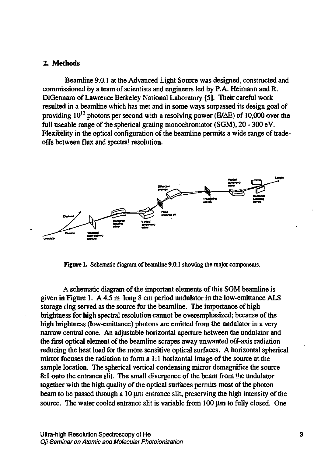#### 2. Methods

Beamline 9.0.1 at the Advanced Light Source was designed, constructed and commissioned by a team of scientists and engineers led by P. A. Heimann and R. DiGennaro of Lawrence Berkeley National Laboratory [5]. Their careful work resulted in a beamline which has met and in some ways surpassed its design goal of providing  $10^{12}$  photons per second with a resolving power (E/ $\Delta E$ ) of 10,000 over the full useable range of the spherical grating monochromator (SGM), 20 - 300 eV. Flexibility in the optical configuration of the beamline permits a wide range of tradeoffs between flux and spectra! resolution.



figure 1. Schematic diagram of beamline 9.0.1 showing the major components.

A schematic diagram of the important elements of this SGM beamline is given in Figure 1. A  $4.5 \text{ m}$  long 8 cm period undulator in the low-emittance ALS storage ring served as the source for the beamline. The importance of high brightness for high spectral resolution cannot be overemphasized; because of the high brightness (low-emittance) photons are emitted from the undulator in a very narrow central cone. An adjustable horizontal aperture between the undulator and the first optical element of the beamline scrapes away unwanted off-axis radiation reducing the heat load for the more sensitive optical surfaces. A horizontal spherical mirror focuses the radiation to form a 1:1 horizontal image of the source at the sample location. The spherical vertical condensing mirror demagnifies the source 8:1 onto the entrance slit. The small divergence of the beam from the undulator together with the high quality of the optical surfaces permits most of the photon beam to be passed through a  $10 \mu m$  entrance slit, preserving the high intensity of the source. The water cooled entrance slit is variable from  $100 \mu m$  to fully closed. One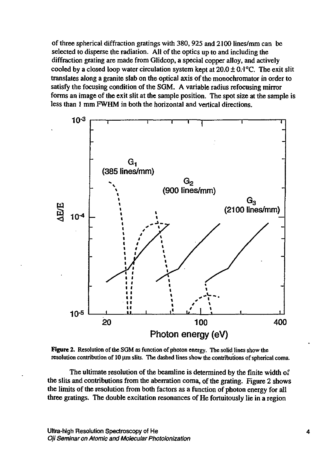of three spherical diffraction gratings with 380,925 and 2100 lines/mm can be selected to disperse the radiation. All of the optics up to and including the diffraction grating are made from Glidcop, a special copper alloy, and actively cooled by a closed loop water circulation system kept at  $20.0 \pm 0.1$ °C. The exit slit translates along a granite slab on the optical axis of the monochromator in order to satisfy the focusing condition of the SGM. A variable radius refocusing mirror forms an image of the exit slit at the sample position. The spot size at the sample is less than 1 mm FWHM in both the horizontal and vertical directions.



**Figure** 2. Resolution of the SGM as function of photon energy. The solid lines show the resolution contribution of 10 um slits. The dashed lines show the contributions of spherical coma.

The ultimate resolution of the beamline is determined by the finite width of the slits and contributions from the aberration coma, of the grating. Figure 2 shows the limits of the resolution from both factors as a function of photon energy for all three gratings. The double excitation resonances of He fortuitously lie in a region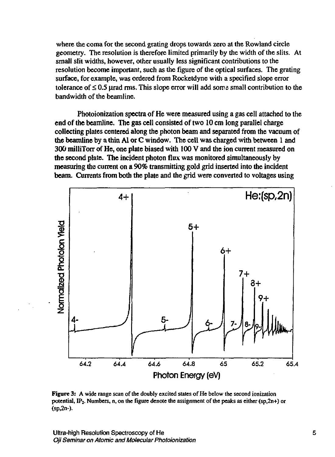where the coma for the second grating drops towards zero at the Rowland circle geometry. The resolution is therefore limited primarily by the width of the slits. At small slit widths, however, other usually less significant contributions to the resolution become important, such as the figure of the optical surfaces. The grating surface, for example, was ordered from Rocketdyne with a specified slope error tolerance of  $\leq 0.5$  urad rms. This slope error will add some small contribution to the bandwidth of the beamline.

Photoionization spectra of He were measured using a gas cell attached to the end of the beamline. The gas cell consisted of two 10 cm long parallel charge collecting plates centered along the photon beam and separated from the vacuum of the beamline by a thin Al or C window. The cell was charged with between 1 and 300 milliTorr of He, one plate biased with 100 V and the ion current measured on the second plate. The incident photon flux was monitored simultaneously by measuring the current on a 90% transmitting gold grid inserted into the incident beam. Currents from both the plate and the grid were converted to voltages using



**Figure** 3: A wide range scan of the doubly excited states of He below the second ionization potential, IP<sup>2</sup> . Numbers, n, on the figure denote the assignment of the peaks as either (sp,2n+) or (sp,2n-).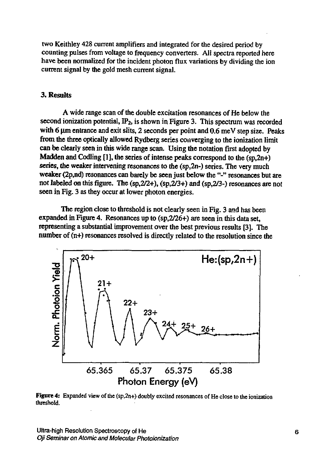two Keithley 428 current amplifiers and integrated for the desired period by counting pulses from voltage to frequency converters. All spectra reported here have been normalized for the incident photon flux variations by dividing the ion current signal by the gold mesh current signal.

### 3. Results

A wide range scan of the double excitation resonances of He below the second ionization potential,  $IP_2$ , is shown in Figure 3. This spectrum was recorded with 6  $\mu$ m entrance and exit slits, 2 seconds per point and 0.6 meV step size. Peaks from the three optically allowed Rydberg series converging to the ionization limit can be clearly seen in this wide range scan. Using the notation first adopted by Madden and Codling [1], the series of intense peaks correspond to the  $(s<sub>D</sub>, 2n+1)$ series, the weaker intervening resonances to the (sp,2n-) series. The very much weaker (2p,nd) resonances can barely be seen just below the "-" resonances but are not labeled on this figure. The (sp,2/2+), (sp,2/3+) and (sp,2/3-) resonances are not seen in Fig. 3 as they occur at lower photon energies.

The region close to threshold is not clearly seen in Fig. 3 and has been expanded in Figure 4. Resonances up to (sp,2/26+) are seen in this data set, representing a substantial improvement over the best previous results [3]. The number of (n+) resonances resolved is directly related to the resolution since the



**Figure 4:** Expanded view of the (sp,2n+) doubly excited resonances of He close to the ionization threshold.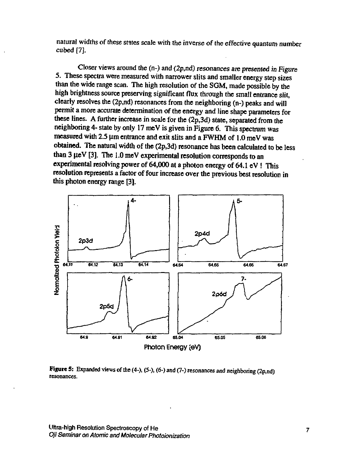natural widths of these states scale with the inverse of the effective quantum number cubed [7].

Closer views around the  $(n-)$  and  $(2p,nd)$  resonances are presented in Figure 5. These spectra were measured with narrower slits and smaller energy step sizes than the wide range scan. The high resolution of the SGM, made possible by the high brightness source preserving significant flux through the small entrance slit, clearly resolves the (2p,nd) resonances from the neighboring (n-) peaks and will permit a more accurate determination of the energy and line shape parameters for these lines. A further increase in scale for the (2p,3d) state, separated from the neighboring 4- state by only 17 meV is given in Figure 6. This spectrum was measured with 2.5  $\mu$ m entrance and exit slits and a FWHM of 1.0 meV was obtained. The natural width of the (2p,3d) resonance has been calculated to be less than  $3 \mu eV$  [3]. The 1.0 meV experimental resolution corresponds to an experimental resolving power of 64,000 at a photon energy of 64.1 eV ! This resolution represents a factor of four increase over the previous best resolution in this photon energy range [3].



Figure S: Expanded views of the (4-), (5-), (6-) and (7-) resonances and neighboring (2p,nd) resonances.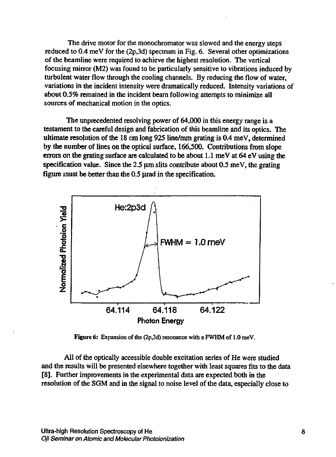The drive motor for the monochromator was slowed and the energy steps reduced to 0.4 meV for the (2p,3d) spectrum in Fig. 6. Several other optimizations of the beamline were required to achieve the highest resolution. The vertical focusing mirror (M2) was found to be particularly sensitive to vibrations induced by turbulent water flow through the cooling channels. By reducing the flow of water, variations in the incident intensity were dramatically reduced. Intensity variations of about 0.5% remained in the incident beam following attempts to minimize all sources of mechanical motion in the optics.

The unprecedented resolving power of 64,000 in this energy range is a testament to the careful design and fabrication of this beamline and its optics. The ultimate resolution of the 18 cm long 925 line/nun grating is 0.4 meV, determined by the number of lines on the optical surface, 166,500. Contributions from slope errors on the grating surface are calculated to be about 1.1 meV at 64 eV using the specification value. Since the 2.5  $\mu$ m slits contribute about 0.5 meV, the grating figure must be better than the 0.5 µrad in the specification.



**Figure** *6:* Expansion of the (2p,3d) resonance with a FWHM of 1.0 meV.

All of the optically accessible double excitation series of He were studied and the results will be presented elsewhere together with least squares fits to the data [8]. Further improvements in the experimental data are expected both in the resolution of the SGM and in the signal to noise level of the data, especially close to